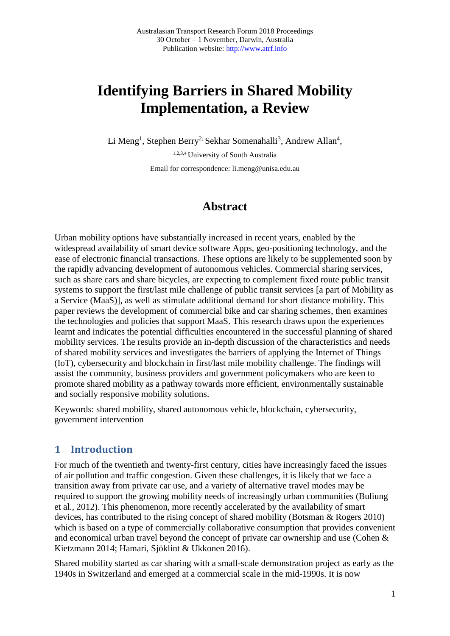# **Identifying Barriers in Shared Mobility Implementation, a Review**

Li Meng<sup>1</sup>, Stephen Berry<sup>2,</sup> Sekhar Somenahalli<sup>3</sup>, Andrew Allan<sup>4</sup>,

1,2,3,4 University of South Australia Email for correspondence: li.meng@unisa.edu.au

# **Abstract**

Urban mobility options have substantially increased in recent years, enabled by the widespread availability of smart device software Apps, geo-positioning technology, and the ease of electronic financial transactions. These options are likely to be supplemented soon by the rapidly advancing development of autonomous vehicles. Commercial sharing services, such as share cars and share bicycles, are expecting to complement fixed route public transit systems to support the first/last mile challenge of public transit services [a part of Mobility as a Service (MaaS)], as well as stimulate additional demand for short distance mobility. This paper reviews the development of commercial bike and car sharing schemes, then examines the technologies and policies that support MaaS. This research draws upon the experiences learnt and indicates the potential difficulties encountered in the successful planning of shared mobility services. The results provide an in-depth discussion of the characteristics and needs of shared mobility services and investigates the barriers of applying the Internet of Things (IoT), cybersecurity and blockchain in first/last mile mobility challenge. The findings will assist the community, business providers and government policymakers who are keen to promote shared mobility as a pathway towards more efficient, environmentally sustainable and socially responsive mobility solutions.

Keywords: shared mobility, shared autonomous vehicle, blockchain, cybersecurity, government intervention

# **1 Introduction**

For much of the twentieth and twenty-first century, cities have increasingly faced the issues of air pollution and traffic congestion. Given these challenges, it is likely that we face a transition away from private car use, and a variety of alternative travel modes may be required to support the growing mobility needs of increasingly urban communities (Buliung et al., 2012). This phenomenon, more recently accelerated by the availability of smart devices, has contributed to the rising concept of shared mobility (Botsman & Rogers 2010) which is based on a type of commercially collaborative consumption that provides convenient and economical urban travel beyond the concept of private car ownership and use (Cohen & Kietzmann 2014; Hamari, Sjöklint & Ukkonen 2016).

Shared mobility started as car sharing with a small-scale demonstration project as early as the 1940s in Switzerland and emerged at a commercial scale in the mid-1990s. It is now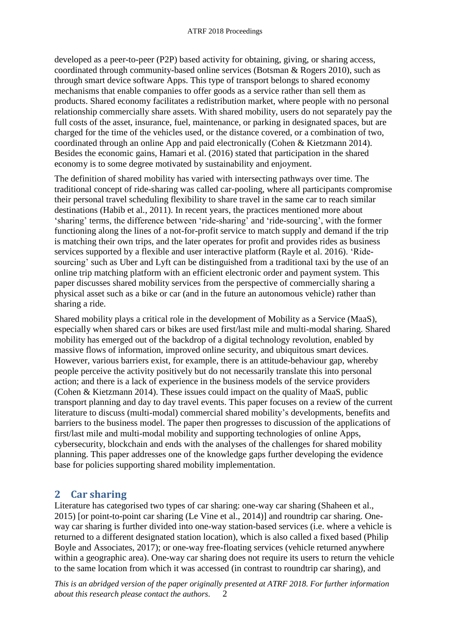developed as a peer-to-peer (P2P) based activity for obtaining, giving, or sharing access, coordinated through community-based online services (Botsman & Rogers 2010), such as through smart device software Apps. This type of transport belongs to shared economy mechanisms that enable companies to offer goods as a service rather than sell them as products. Shared economy facilitates a redistribution market, where people with no personal relationship commercially share assets. With shared mobility, users do not separately pay the full costs of the asset, insurance, fuel, maintenance, or parking in designated spaces, but are charged for the time of the vehicles used, or the distance covered, or a combination of two, coordinated through an online App and paid electronically (Cohen & Kietzmann 2014). Besides the economic gains, Hamari et al. (2016) stated that participation in the shared economy is to some degree motivated by sustainability and enjoyment.

The definition of shared mobility has varied with intersecting pathways over time. The traditional concept of ride-sharing was called car-pooling, where all participants compromise their personal travel scheduling flexibility to share travel in the same car to reach similar destinations (Habib et al., 2011). In recent years, the practices mentioned more about 'sharing' terms, the difference between 'ride-sharing' and 'ride-sourcing', with the former functioning along the lines of a not-for-profit service to match supply and demand if the trip is matching their own trips, and the later operates for profit and provides rides as business services supported by a flexible and user interactive platform (Rayle et al. 2016). 'Ridesourcing' such as Uber and Lyft can be distinguished from a traditional taxi by the use of an online trip matching platform with an efficient electronic order and payment system. This paper discusses shared mobility services from the perspective of commercially sharing a physical asset such as a bike or car (and in the future an autonomous vehicle) rather than sharing a ride.

Shared mobility plays a critical role in the development of Mobility as a Service (MaaS), especially when shared cars or bikes are used first/last mile and multi-modal sharing. Shared mobility has emerged out of the backdrop of a digital technology revolution, enabled by massive flows of information, improved online security, and ubiquitous smart devices. However, various barriers exist, for example, there is an attitude-behaviour gap, whereby people perceive the activity positively but do not necessarily translate this into personal action; and there is a lack of experience in the business models of the service providers (Cohen & Kietzmann 2014). These issues could impact on the quality of MaaS, public transport planning and day to day travel events. This paper focuses on a review of the current literature to discuss (multi-modal) commercial shared mobility's developments, benefits and barriers to the business model. The paper then progresses to discussion of the applications of first/last mile and multi-modal mobility and supporting technologies of online Apps, cybersecurity, blockchain and ends with the analyses of the challenges for shared mobility planning. This paper addresses one of the knowledge gaps further developing the evidence base for policies supporting shared mobility implementation.

# **2 Car sharing**

Literature has categorised two types of car sharing: one-way car sharing (Shaheen et al., 2015) [or point-to-point car sharing (Le Vine et al., 2014)] and roundtrip car sharing. Oneway car sharing is further divided into one-way station-based services (i.e. where a vehicle is returned to a different designated station location), which is also called a fixed based (Philip Boyle and Associates, 2017); or one-way free-floating services (vehicle returned anywhere within a geographic area). One-way car sharing does not require its users to return the vehicle to the same location from which it was accessed (in contrast to roundtrip car sharing), and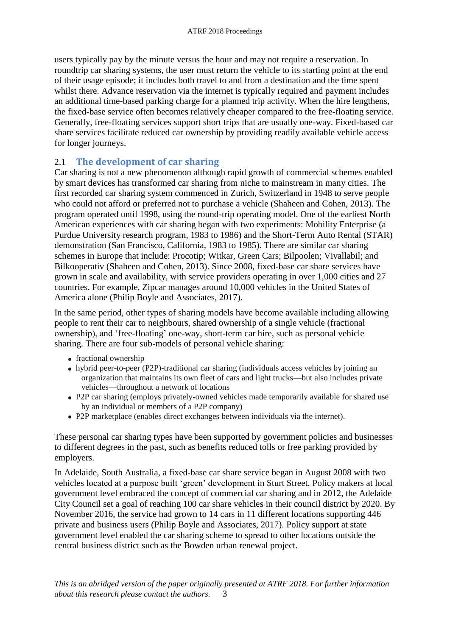users typically pay by the minute versus the hour and may not require a reservation. In roundtrip car sharing systems, the user must return the vehicle to its starting point at the end of their usage episode; it includes both travel to and from a destination and the time spent whilst there. Advance reservation via the internet is typically required and payment includes an additional time-based parking charge for a planned trip activity. When the hire lengthens, the fixed-base service often becomes relatively cheaper compared to the free-floating service. Generally, free-floating services support short trips that are usually one-way. Fixed-based car share services facilitate reduced car ownership by providing readily available vehicle access for longer journeys.

#### 2.1 **The development of car sharing**

Car sharing is not a new phenomenon although rapid growth of commercial schemes enabled by smart devices has transformed car sharing from niche to mainstream in many cities. The first recorded car sharing system commenced in Zurich, Switzerland in 1948 to serve people who could not afford or preferred not to purchase a vehicle (Shaheen and Cohen, 2013). The program operated until 1998, using the round-trip operating model. One of the earliest North American experiences with car sharing began with two experiments: Mobility Enterprise (a Purdue University research program, 1983 to 1986) and the Short-Term Auto Rental (STAR) demonstration (San Francisco, California, 1983 to 1985). There are similar car sharing schemes in Europe that include: Procotip; Witkar, Green Cars; Bilpoolen; Vivallabil; and Bilkooperativ (Shaheen and Cohen, 2013). Since 2008, fixed-base car share services have grown in scale and availability, with service providers operating in over 1,000 cities and 27 countries. For example, Zipcar manages around 10,000 vehicles in the United States of America alone (Philip Boyle and Associates, 2017).

In the same period, other types of sharing models have become available including allowing people to rent their car to neighbours, shared ownership of a single vehicle (fractional ownership), and 'free-floating' one-way, short-term car hire, such as personal vehicle sharing. There are four sub-models of personal vehicle sharing:

- fractional ownership
- hybrid peer-to-peer (P2P)-traditional car sharing (individuals access vehicles by joining an organization that maintains its own fleet of cars and light trucks—but also includes private vehicles—throughout a network of locations
- P2P car sharing (employs privately-owned vehicles made temporarily available for shared use by an individual or members of a P2P company)
- P2P marketplace (enables direct exchanges between individuals via the internet).

These personal car sharing types have been supported by government policies and businesses to different degrees in the past, such as benefits reduced tolls or free parking provided by employers.

In Adelaide, South Australia, a fixed-base car share service began in August 2008 with two vehicles located at a purpose built 'green' development in Sturt Street. Policy makers at local government level embraced the concept of commercial car sharing and in 2012, the Adelaide City Council set a goal of reaching 100 car share vehicles in their council district by 2020. By November 2016, the service had grown to 14 cars in 11 different locations supporting 446 private and business users (Philip Boyle and Associates, 2017). Policy support at state government level enabled the car sharing scheme to spread to other locations outside the central business district such as the Bowden urban renewal project.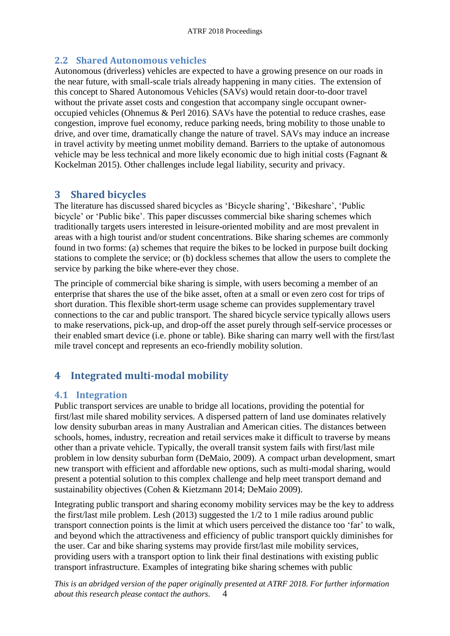#### **2.2 Shared Autonomous vehicles**

Autonomous (driverless) vehicles are expected to have a growing presence on our roads in the near future, with small-scale trials already happening in many cities. The extension of this concept to Shared Autonomous Vehicles (SAVs) would retain door-to-door travel without the private asset costs and congestion that accompany single occupant owneroccupied vehicles (Ohnemus & Perl 2016). SAVs have the potential to reduce crashes, ease congestion, improve fuel economy, reduce parking needs, bring mobility to those unable to drive, and over time, dramatically change the nature of travel. SAVs may induce an increase in travel activity by meeting unmet mobility demand. Barriers to the uptake of autonomous vehicle may be less technical and more likely economic due to high initial costs (Fagnant & Kockelman 2015). Other challenges include legal liability, security and privacy.

## **3 Shared bicycles**

The literature has discussed shared bicycles as 'Bicycle sharing', 'Bikeshare', 'Public bicycle' or 'Public bike'. This paper discusses commercial bike sharing schemes which traditionally targets users interested in leisure-oriented mobility and are most prevalent in areas with a high tourist and/or student concentrations. Bike sharing schemes are commonly found in two forms: (a) schemes that require the bikes to be locked in purpose built docking stations to complete the service; or (b) dockless schemes that allow the users to complete the service by parking the bike where-ever they chose.

The principle of commercial bike sharing is simple, with users becoming a member of an enterprise that shares the use of the bike asset, often at a small or even zero cost for trips of short duration. This flexible short-term usage scheme can provides supplementary travel connections to the car and public transport. The shared bicycle service typically allows users to make reservations, pick-up, and drop-off the asset purely through self-service processes or their enabled smart device (i.e. phone or table). Bike sharing can marry well with the first/last mile travel concept and represents an eco-friendly mobility solution.

# **4 Integrated multi-modal mobility**

#### **4.1 Integration**

Public transport services are unable to bridge all locations, providing the potential for first/last mile shared mobility services. A dispersed pattern of land use dominates relatively low density suburban areas in many Australian and American cities. The distances between schools, homes, industry, recreation and retail services make it difficult to traverse by means other than a private vehicle. Typically, the overall transit system fails with first/last mile problem in low density suburban form (DeMaio, 2009). A compact urban development, smart new transport with efficient and affordable new options, such as multi-modal sharing, would present a potential solution to this complex challenge and help meet transport demand and sustainability objectives (Cohen & Kietzmann 2014; DeMaio 2009).

Integrating public transport and sharing economy mobility services may be the key to address the first/last mile problem. Lesh (2013) suggested the 1/2 to 1 mile radius around public transport connection points is the limit at which users perceived the distance too 'far' to walk, and beyond which the attractiveness and efficiency of public transport quickly diminishes for the user. Car and bike sharing systems may provide first/last mile mobility services, providing users with a transport option to link their final destinations with existing public transport infrastructure. Examples of integrating bike sharing schemes with public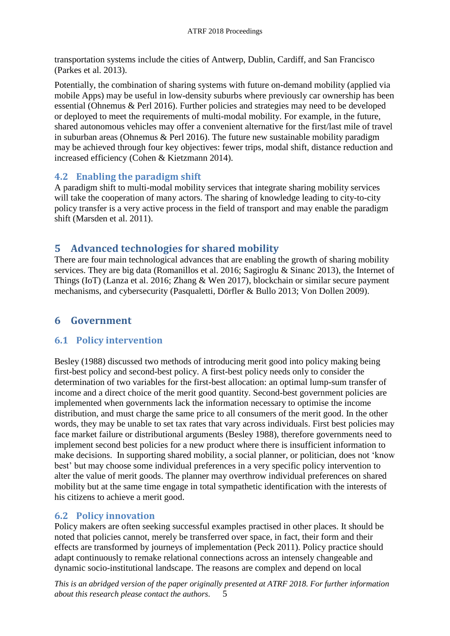transportation systems include the cities of Antwerp, Dublin, Cardiff, and San Francisco (Parkes et al. 2013).

Potentially, the combination of sharing systems with future on-demand mobility (applied via mobile Apps) may be useful in low-density suburbs where previously car ownership has been essential (Ohnemus & Perl 2016). Further policies and strategies may need to be developed or deployed to meet the requirements of multi-modal mobility. For example, in the future, shared autonomous vehicles may offer a convenient alternative for the first/last mile of travel in suburban areas (Ohnemus & Perl 2016). The future new sustainable mobility paradigm may be achieved through four key objectives: fewer trips, modal shift, distance reduction and increased efficiency (Cohen & Kietzmann 2014).

#### **4.2 Enabling the paradigm shift**

A paradigm shift to multi-modal mobility services that integrate sharing mobility services will take the cooperation of many actors. The sharing of knowledge leading to city-to-city policy transfer is a very active process in the field of transport and may enable the paradigm shift (Marsden et al. 2011).

## **5 Advanced technologies for shared mobility**

There are four main technological advances that are enabling the growth of sharing mobility services. They are big data (Romanillos et al. 2016; Sagiroglu & Sinanc 2013), the Internet of Things (IoT) (Lanza et al. 2016; Zhang & Wen 2017), blockchain or similar secure payment mechanisms, and cybersecurity (Pasqualetti, Dörfler & Bullo 2013; Von Dollen 2009).

# **6 Government**

#### **6.1 Policy intervention**

Besley (1988) discussed two methods of introducing merit good into policy making being first-best policy and second-best policy. A first-best policy needs only to consider the determination of two variables for the first-best allocation: an optimal lump-sum transfer of income and a direct choice of the merit good quantity. Second-best government policies are implemented when governments lack the information necessary to optimise the income distribution, and must charge the same price to all consumers of the merit good. In the other words, they may be unable to set tax rates that vary across individuals. First best policies may face market failure or distributional arguments (Besley 1988), therefore governments need to implement second best policies for a new product where there is insufficient information to make decisions. In supporting shared mobility, a social planner, or politician, does not 'know best' but may choose some individual preferences in a very specific policy intervention to alter the value of merit goods. The planner may overthrow individual preferences on shared mobility but at the same time engage in total sympathetic identification with the interests of his citizens to achieve a merit good.

## **6.2 Policy innovation**

Policy makers are often seeking successful examples practised in other places. It should be noted that policies cannot, merely be transferred over space, in fact, their form and their effects are transformed by journeys of implementation (Peck 2011). Policy practice should adapt continuously to remake relational connections across an intensely changeable and dynamic socio-institutional landscape. The reasons are complex and depend on local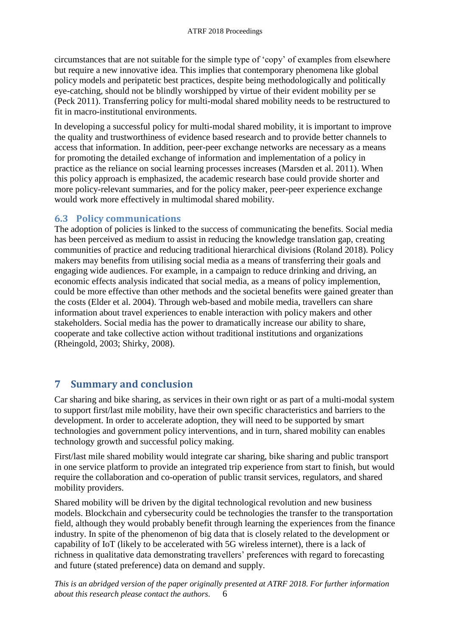circumstances that are not suitable for the simple type of 'copy' of examples from elsewhere but require a new innovative idea. This implies that contemporary phenomena like global policy models and peripatetic best practices, despite being methodologically and politically eye-catching, should not be blindly worshipped by virtue of their evident mobility per se (Peck 2011). Transferring policy for multi-modal shared mobility needs to be restructured to fit in macro-institutional environments.

In developing a successful policy for multi-modal shared mobility, it is important to improve the quality and trustworthiness of evidence based research and to provide better channels to access that information. In addition, peer-peer exchange networks are necessary as a means for promoting the detailed exchange of information and implementation of a policy in practice as the reliance on social learning processes increases (Marsden et al. 2011). When this policy approach is emphasized, the academic research base could provide shorter and more policy-relevant summaries, and for the policy maker, peer-peer experience exchange would work more effectively in multimodal shared mobility.

#### **6.3 Policy communications**

The adoption of policies is linked to the success of communicating the benefits. Social media has been perceived as medium to assist in reducing the knowledge translation gap, creating communities of practice and reducing traditional hierarchical divisions (Roland 2018). Policy makers may benefits from utilising social media as a means of transferring their goals and engaging wide audiences. For example, in a campaign to reduce drinking and driving, an economic effects analysis indicated that social media, as a means of policy implemention, could be more effective than other methods and the societal benefits were gained greater than the costs (Elder et al. 2004). Through web-based and mobile media, travellers can share information about travel experiences to enable interaction with policy makers and other stakeholders. Social media has the power to dramatically increase our ability to share, cooperate and take collective action without traditional institutions and organizations (Rheingold, 2003; Shirky, 2008).

## **7 Summary and conclusion**

Car sharing and bike sharing, as services in their own right or as part of a multi-modal system to support first/last mile mobility, have their own specific characteristics and barriers to the development. In order to accelerate adoption, they will need to be supported by smart technologies and government policy interventions, and in turn, shared mobility can enables technology growth and successful policy making.

First/last mile shared mobility would integrate car sharing, bike sharing and public transport in one service platform to provide an integrated trip experience from start to finish, but would require the collaboration and co-operation of public transit services, regulators, and shared mobility providers.

Shared mobility will be driven by the digital technological revolution and new business models. Blockchain and cybersecurity could be technologies the transfer to the transportation field, although they would probably benefit through learning the experiences from the finance industry. In spite of the phenomenon of big data that is closely related to the development or capability of IoT (likely to be accelerated with 5G wireless internet), there is a lack of richness in qualitative data demonstrating travellers' preferences with regard to forecasting and future (stated preference) data on demand and supply.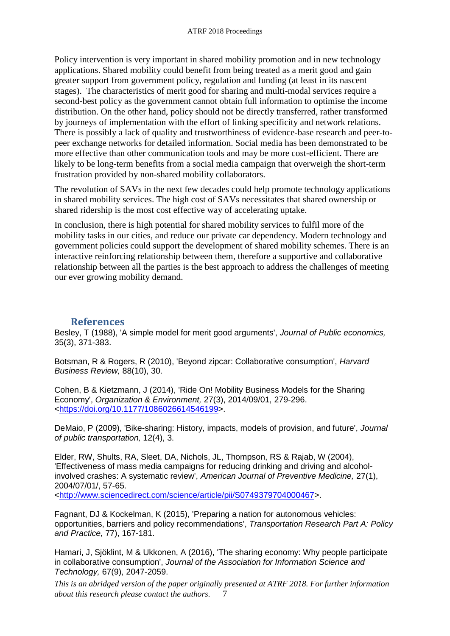Policy intervention is very important in shared mobility promotion and in new technology applications. Shared mobility could benefit from being treated as a merit good and gain greater support from government policy, regulation and funding (at least in its nascent stages). The characteristics of merit good for sharing and multi-modal services require a second-best policy as the government cannot obtain full information to optimise the income distribution. On the other hand, policy should not be directly transferred, rather transformed by journeys of implementation with the effort of linking specificity and network relations. There is possibly a lack of quality and trustworthiness of evidence-base research and peer-topeer exchange networks for detailed information. Social media has been demonstrated to be more effective than other communication tools and may be more cost-efficient. There are likely to be long-term benefits from a social media campaign that overweigh the short-term frustration provided by non-shared mobility collaborators.

The revolution of SAVs in the next few decades could help promote technology applications in shared mobility services. The high cost of SAVs necessitates that shared ownership or shared ridership is the most cost effective way of accelerating uptake.

In conclusion, there is high potential for shared mobility services to fulfil more of the mobility tasks in our cities, and reduce our private car dependency. Modern technology and government policies could support the development of shared mobility schemes. There is an interactive reinforcing relationship between them, therefore a supportive and collaborative relationship between all the parties is the best approach to address the challenges of meeting our ever growing mobility demand.

#### **References**

Besley, T (1988), 'A simple model for merit good arguments', *Journal of Public economics,*  35(3), 371-383.

Botsman, R & Rogers, R (2010), 'Beyond zipcar: Collaborative consumption', *Harvard Business Review,* 88(10), 30.

Cohen, B & Kietzmann, J (2014), 'Ride On! Mobility Business Models for the Sharing Economy', *Organization & Environment,* 27(3), 2014/09/01, 279-296. [<https://doi.org/10.1177/1086026614546199>](https://doi.org/10.1177/1086026614546199).

DeMaio, P (2009), 'Bike-sharing: History, impacts, models of provision, and future', *Journal of public transportation,* 12(4), 3.

Elder, RW, Shults, RA, Sleet, DA, Nichols, JL, Thompson, RS & Rajab, W (2004), 'Effectiveness of mass media campaigns for reducing drinking and driving and alcoholinvolved crashes: A systematic review', *American Journal of Preventive Medicine,* 27(1), 2004/07/01/, 57-65.

[<http://www.sciencedirect.com/science/article/pii/S0749379704000467>](http://www.sciencedirect.com/science/article/pii/S0749379704000467).

Fagnant, DJ & Kockelman, K (2015), 'Preparing a nation for autonomous vehicles: opportunities, barriers and policy recommendations', *Transportation Research Part A: Policy and Practice,* 77), 167-181.

Hamari, J, Sjöklint, M & Ukkonen, A (2016), 'The sharing economy: Why people participate in collaborative consumption', *Journal of the Association for Information Science and Technology,* 67(9), 2047-2059.